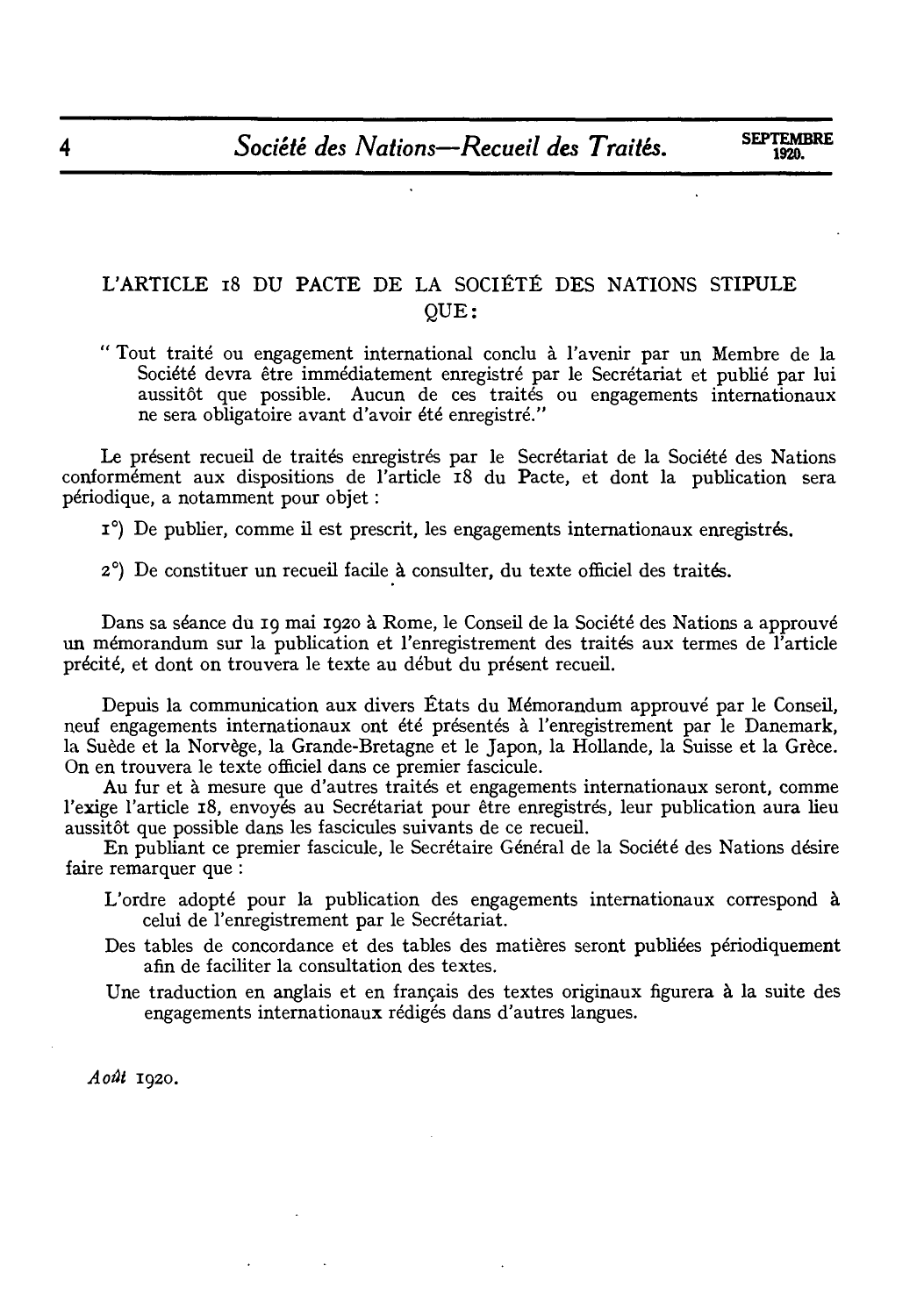## L'ARTICLE r8 DU PACTE DE LA SOCIETE DES NATIONS STIPULE QUE:

"Tout traite ou engagement international conclu a l'avenir par un Membre de la Société devra être immédiatement enregistré par le Secrétariat et publié par lui aussitot que possible. Aucun de ces traites ou engagements internationaux ne sera obligatoire avant d'avoir ete enregistre."

Le présent recueil de traités enregistrés par le Secrétariat de la Société des Nations conformement aux dispositions de !'article r8 du Pacte, et dont la publication sera periodique, a notamment pour objet:

I<sup>o</sup>) De publier, comme il est prescrit, les engagements internationaux enregistrés.

2°) De constituer un recueil facile a consulter, du texte officiel des traites.

Dans sa séance du 19 mai 1920 à Rome, le Conseil de la Société des Nations a approuvé un mémorandum sur la publication et l'enregistrement des traités aux termes de l'article precite, et dont on trouvera le texte au debut du present recueil.

Depuis la communication aux divers Etats du Memorandum approuve par le Conseil, neuf engagements internationaux ont ete presentes a !'enregistrement par le Danemark, la Suede et la Norvege, la Grande-Bretagne et le Japon, la Hollande, la Suisse et la Grece. On en trouvera le texte officiel dans ce premier fascicule.

Au fur et à mesure que d'autres traités et engagements internationaux seront, comme l'exige l'article 18, envoyés au Secrétariat pour être enregistrés, leur publication aura lieu aussitôt que possible dans les fascicules suivants de ce recueil.

En publiant ce premier fascicule, le Secrétaire Général de la Société des Nations désire faire remarquer que :

- L'ordre adopte pour la publication des engagements internationaux correspond a celui de !'enregistrement par le Secretariat.
- Des tables de concordance et des tables des matières seront publiées périodiquement afin de faciliter la consultation des textes.
- Une traduction en anglais et en français des textes originaux figurera à la suite des engagements internationaux rédigés dans d'autres langues.

 $A$ oût 1920.